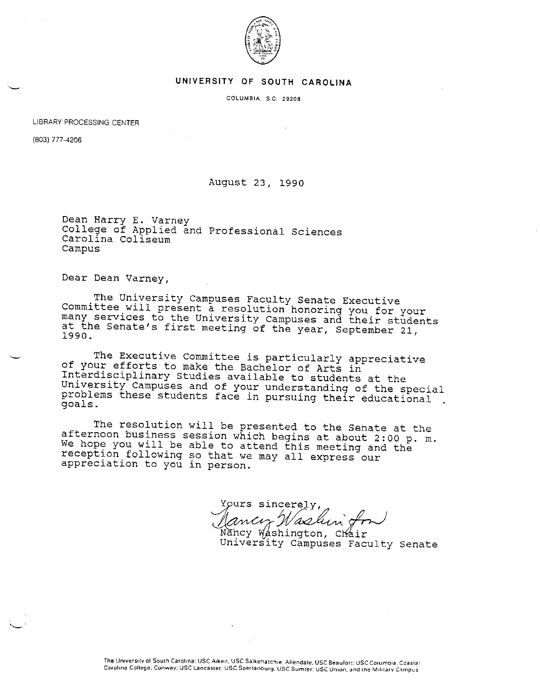

## **UNIVERSITY OF SOUTH CAROLINA**

**COLUMBIA. S.C. 29208** 

LIBRARY PROCESSING CENTER

(803) 777-4206

 $\sim$ '

## August 23, 1990

Dean Harry E. Varney College of Applied and Professional Sciences<br>Carolina Coliseum campus

Dear Dean Varney,

The University Campuses Faculty Senate Executive<br>Committee will present a resolution honoring you for your<br>many services to the University Campuses and their students<br>at the Senate's first meeting of the year, September 21

The Executive Committee is particularly appreciative<br>of your efforts to make the Bachelor of Arts in<br>Interdisciplinary Studies available to students at the<br>University Campuses and of your understanding of the special<br>probl

The resolution will be presented to the Senate at the<br>afternoon business session which begins at about 2:00 p.m.<br>We hope you will be able to attend this meeting and the<br>reception following so that we may all express our<br>ap

Yours sincerely,

Nancy Washington, Chair<br>University Campuses Faculty Senate